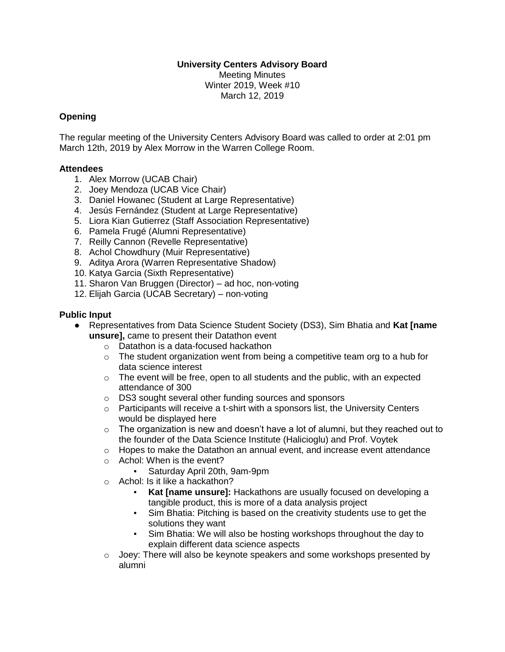#### **University Centers Advisory Board**

Meeting Minutes Winter 2019, Week #10 March 12, 2019

#### **Opening**

The regular meeting of the University Centers Advisory Board was called to order at 2:01 pm March 12th, 2019 by Alex Morrow in the Warren College Room.

#### **Attendees**

- 1. Alex Morrow (UCAB Chair)
- 2. Joey Mendoza (UCAB Vice Chair)
- 3. Daniel Howanec (Student at Large Representative)
- 4. Jesús Fernández (Student at Large Representative)
- 5. Liora Kian Gutierrez (Staff Association Representative)
- 6. Pamela Frugé (Alumni Representative)
- 7. Reilly Cannon (Revelle Representative)
- 8. Achol Chowdhury (Muir Representative)
- 9. Aditya Arora (Warren Representative Shadow)
- 10. Katya Garcia (Sixth Representative)
- 11. Sharon Van Bruggen (Director) ad hoc, non-voting
- 12. Elijah Garcia (UCAB Secretary) non-voting

#### **Public Input**

- Representatives from Data Science Student Society (DS3), Sim Bhatia and **Kat [name unsure],** came to present their Datathon event
	- o Datathon is a data-focused hackathon
	- $\circ$  The student organization went from being a competitive team org to a hub for data science interest
	- $\circ$  The event will be free, open to all students and the public, with an expected attendance of 300
	- o DS3 sought several other funding sources and sponsors
	- o Participants will receive a t-shirt with a sponsors list, the University Centers would be displayed here
	- $\circ$  The organization is new and doesn't have a lot of alumni, but they reached out to the founder of the Data Science Institute (Halicioglu) and Prof. Voytek
	- $\circ$  Hopes to make the Datathon an annual event, and increase event attendance
	- o Achol: When is the event?
		- Saturday April 20th, 9am-9pm
	- o Achol: Is it like a hackathon?
		- **Kat [name unsure]:** Hackathons are usually focused on developing a tangible product, this is more of a data analysis project
		- Sim Bhatia: Pitching is based on the creativity students use to get the solutions they want
		- Sim Bhatia: We will also be hosting workshops throughout the day to explain different data science aspects
	- $\circ$  Joey: There will also be keynote speakers and some workshops presented by alumni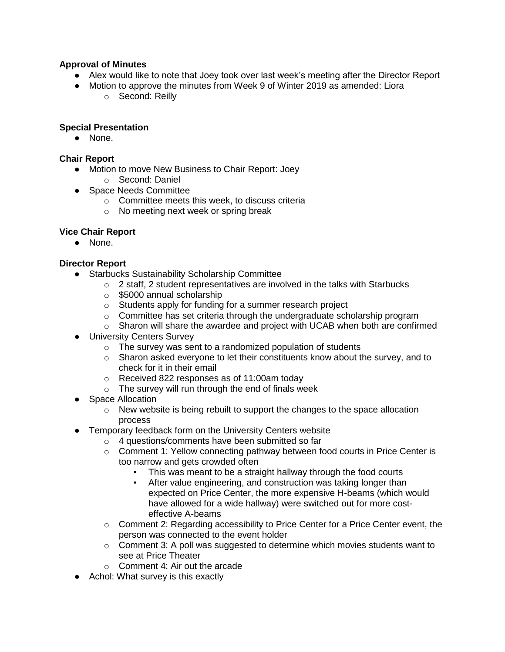# **Approval of Minutes**

- Alex would like to note that Joey took over last week's meeting after the Director Report
- Motion to approve the minutes from Week 9 of Winter 2019 as amended: Liora
	- o Second: Reilly

# **Special Presentation**

● None.

## **Chair Report**

- Motion to move New Business to Chair Report: Joey
	- o Second: Daniel
- Space Needs Committee
	- o Committee meets this week, to discuss criteria
	- o No meeting next week or spring break

## **Vice Chair Report**

● None.

## **Director Report**

- Starbucks Sustainability Scholarship Committee
	- $\circ$  2 staff, 2 student representatives are involved in the talks with Starbucks
	- o \$5000 annual scholarship
	- o Students apply for funding for a summer research project
	- $\circ$  Committee has set criteria through the undergraduate scholarship program
	- o Sharon will share the awardee and project with UCAB when both are confirmed
- University Centers Survey
	- $\circ$  The survey was sent to a randomized population of students
	- o Sharon asked everyone to let their constituents know about the survey, and to check for it in their email
	- o Received 822 responses as of 11:00am today
	- $\circ$  The survey will run through the end of finals week
- Space Allocation
	- $\circ$  New website is being rebuilt to support the changes to the space allocation process
- Temporary feedback form on the University Centers website
	- o 4 questions/comments have been submitted so far
	- $\circ$  Comment 1: Yellow connecting pathway between food courts in Price Center is too narrow and gets crowded often
		- This was meant to be a straight hallway through the food courts
		- After value engineering, and construction was taking longer than expected on Price Center, the more expensive H-beams (which would have allowed for a wide hallway) were switched out for more costeffective A-beams
	- $\circ$  Comment 2: Regarding accessibility to Price Center for a Price Center event, the person was connected to the event holder
	- $\circ$  Comment 3: A poll was suggested to determine which movies students want to see at Price Theater
	- o Comment 4: Air out the arcade
- Achol: What survey is this exactly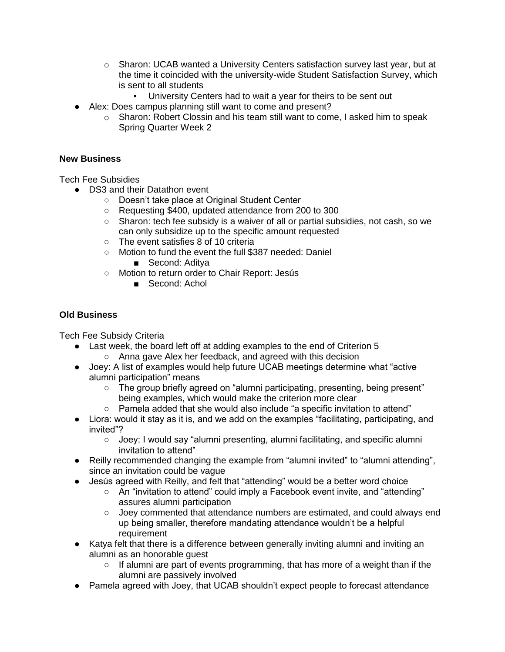- $\circ$  Sharon: UCAB wanted a University Centers satisfaction survey last year, but at the time it coincided with the university-wide Student Satisfaction Survey, which is sent to all students
	- University Centers had to wait a year for theirs to be sent out
- Alex: Does campus planning still want to come and present?
	- $\circ$  Sharon: Robert Clossin and his team still want to come, I asked him to speak Spring Quarter Week 2

### **New Business**

Tech Fee Subsidies

- DS3 and their Datathon event
	- Doesn't take place at Original Student Center
	- Requesting \$400, updated attendance from 200 to 300
	- Sharon: tech fee subsidy is a waiver of all or partial subsidies, not cash, so we can only subsidize up to the specific amount requested
	- The event satisfies 8 of 10 criteria
	- Motion to fund the event the full \$387 needed: Daniel
		- Second: Aditya
	- Motion to return order to Chair Report: Jesús
		- Second: Achol

### **Old Business**

Tech Fee Subsidy Criteria

- Last week, the board left off at adding examples to the end of Criterion 5
	- Anna gave Alex her feedback, and agreed with this decision
- Joey: A list of examples would help future UCAB meetings determine what "active alumni participation" means
	- The group briefly agreed on "alumni participating, presenting, being present" being examples, which would make the criterion more clear
	- Pamela added that she would also include "a specific invitation to attend"
- Liora: would it stay as it is, and we add on the examples "facilitating, participating, and invited"?
	- Joey: I would say "alumni presenting, alumni facilitating, and specific alumni invitation to attend"
- Reilly recommended changing the example from "alumni invited" to "alumni attending", since an invitation could be vague
- Jesús agreed with Reilly, and felt that "attending" would be a better word choice
	- An "invitation to attend" could imply a Facebook event invite, and "attending" assures alumni participation
	- Joey commented that attendance numbers are estimated, and could always end up being smaller, therefore mandating attendance wouldn't be a helpful requirement
- Katya felt that there is a difference between generally inviting alumni and inviting an alumni as an honorable guest
	- $\circ$  If alumni are part of events programming, that has more of a weight than if the alumni are passively involved
- Pamela agreed with Joey, that UCAB shouldn't expect people to forecast attendance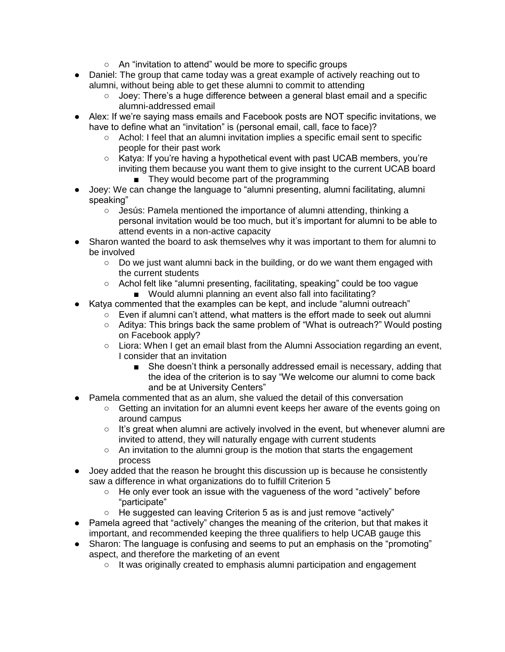- An "invitation to attend" would be more to specific groups
- Daniel: The group that came today was a great example of actively reaching out to alumni, without being able to get these alumni to commit to attending
	- Joey: There's a huge difference between a general blast email and a specific alumni-addressed email
- Alex: If we're saying mass emails and Facebook posts are NOT specific invitations, we have to define what an "invitation" is (personal email, call, face to face)?
	- $\circ$  Achol: I feel that an alumni invitation implies a specific email sent to specific people for their past work
	- Katya: If you're having a hypothetical event with past UCAB members, you're inviting them because you want them to give insight to the current UCAB board ■ They would become part of the programming
- Joey: We can change the language to "alumni presenting, alumni facilitating, alumni speaking"
	- Jesús: Pamela mentioned the importance of alumni attending, thinking a personal invitation would be too much, but it's important for alumni to be able to attend events in a non-active capacity
- Sharon wanted the board to ask themselves why it was important to them for alumni to be involved
	- Do we just want alumni back in the building, or do we want them engaged with the current students
	- Achol felt like "alumni presenting, facilitating, speaking" could be too vague
		- Would alumni planning an event also fall into facilitating?
- Katya commented that the examples can be kept, and include "alumni outreach"
	- Even if alumni can't attend, what matters is the effort made to seek out alumni
	- Aditya: This brings back the same problem of "What is outreach?" Would posting on Facebook apply?
	- Liora: When I get an email blast from the Alumni Association regarding an event, I consider that an invitation
		- She doesn't think a personally addressed email is necessary, adding that the idea of the criterion is to say "We welcome our alumni to come back and be at University Centers"
- Pamela commented that as an alum, she valued the detail of this conversation
	- Getting an invitation for an alumni event keeps her aware of the events going on around campus
	- o It's great when alumni are actively involved in the event, but whenever alumni are invited to attend, they will naturally engage with current students
	- $\circ$  An invitation to the alumni group is the motion that starts the engagement process
- Joey added that the reason he brought this discussion up is because he consistently saw a difference in what organizations do to fulfill Criterion 5
	- $\circ$  He only ever took an issue with the vagueness of the word "actively" before "participate"
	- He suggested can leaving Criterion 5 as is and just remove "actively"
- Pamela agreed that "actively" changes the meaning of the criterion, but that makes it important, and recommended keeping the three qualifiers to help UCAB gauge this
- Sharon: The language is confusing and seems to put an emphasis on the "promoting" aspect, and therefore the marketing of an event
	- It was originally created to emphasis alumni participation and engagement